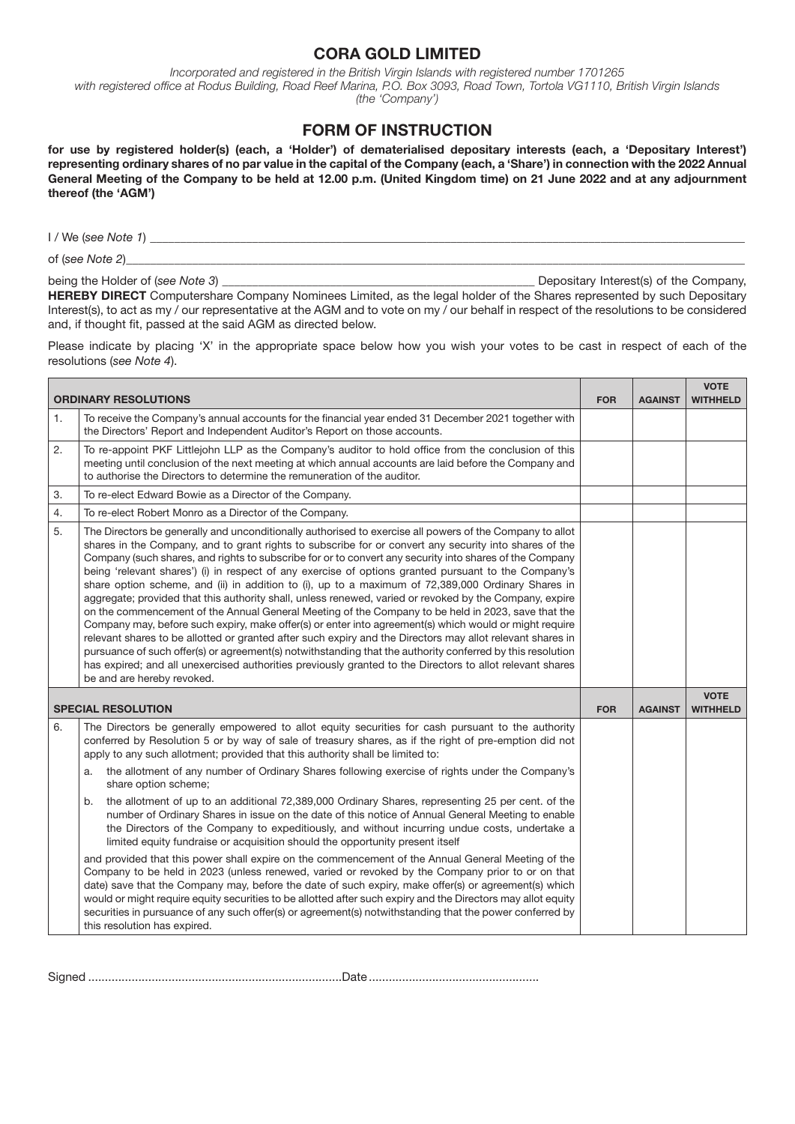## CORA GOLD LIMITED

*Incorporated and registered in the British Virgin Islands with registered number 1701265 with registered office at Rodus Building, Road Reef Marina, P.O. Box 3093, Road Town, Tortola VG1110, British Virgin Islands (the 'Company')*

## FORM OF INSTRUCTION

for use by registered holder(s) (each, a 'Holder') of dematerialised depositary interests (each, a 'Depositary Interest') representing ordinary shares of no par value in the capital of the Company (each, a 'Share') in connection with the 2022 Annual General Meeting of the Company to be held at 12.00 p.m. (United Kingdom time) on 21 June 2022 and at any adjournment thereof (the 'AGM')

I / We (*see Note 1*) \_\_\_\_\_\_\_\_\_\_\_\_\_\_\_\_\_\_\_\_\_\_\_\_\_\_\_\_\_\_\_\_\_\_\_\_\_\_\_\_\_\_\_\_\_\_\_\_\_\_\_\_\_\_\_\_\_\_\_\_\_\_\_\_\_\_\_\_\_\_\_\_\_\_\_\_\_\_\_\_\_\_\_\_\_\_\_\_\_\_\_\_\_\_\_\_\_\_\_

of (see Note 2)

being the Holder of (*see Note 3*) **Depositary Interest(s)** of the Company,

HEREBY DIRECT Computershare Company Nominees Limited, as the legal holder of the Shares represented by such Depositary Interest(s), to act as my / our representative at the AGM and to vote on my / our behalf in respect of the resolutions to be considered and, if thought fit, passed at the said AGM as directed below.

Please indicate by placing 'X' in the appropriate space below how you wish your votes to be cast in respect of each of the resolutions (*see Note 4*).

| <b>ORDINARY RESOLUTIONS</b> |                                                                                                                                                                                                                                                                                                                                                                                                                                                                                                                                                                                                                                                                                                                                                                                                                                                                                                                                                                                                                                                                                                                                                                                                                                                                                                                                                                                                                 | <b>FOR</b> | <b>AGAINST</b> | <b>VOTE</b><br><b>WITHHELD</b> |
|-----------------------------|-----------------------------------------------------------------------------------------------------------------------------------------------------------------------------------------------------------------------------------------------------------------------------------------------------------------------------------------------------------------------------------------------------------------------------------------------------------------------------------------------------------------------------------------------------------------------------------------------------------------------------------------------------------------------------------------------------------------------------------------------------------------------------------------------------------------------------------------------------------------------------------------------------------------------------------------------------------------------------------------------------------------------------------------------------------------------------------------------------------------------------------------------------------------------------------------------------------------------------------------------------------------------------------------------------------------------------------------------------------------------------------------------------------------|------------|----------------|--------------------------------|
| 1.                          | To receive the Company's annual accounts for the financial year ended 31 December 2021 together with<br>the Directors' Report and Independent Auditor's Report on those accounts.                                                                                                                                                                                                                                                                                                                                                                                                                                                                                                                                                                                                                                                                                                                                                                                                                                                                                                                                                                                                                                                                                                                                                                                                                               |            |                |                                |
| 2.                          | To re-appoint PKF Littlejohn LLP as the Company's auditor to hold office from the conclusion of this<br>meeting until conclusion of the next meeting at which annual accounts are laid before the Company and<br>to authorise the Directors to determine the remuneration of the auditor.                                                                                                                                                                                                                                                                                                                                                                                                                                                                                                                                                                                                                                                                                                                                                                                                                                                                                                                                                                                                                                                                                                                       |            |                |                                |
| 3.                          | To re-elect Edward Bowie as a Director of the Company.                                                                                                                                                                                                                                                                                                                                                                                                                                                                                                                                                                                                                                                                                                                                                                                                                                                                                                                                                                                                                                                                                                                                                                                                                                                                                                                                                          |            |                |                                |
| 4.                          | To re-elect Robert Monro as a Director of the Company.                                                                                                                                                                                                                                                                                                                                                                                                                                                                                                                                                                                                                                                                                                                                                                                                                                                                                                                                                                                                                                                                                                                                                                                                                                                                                                                                                          |            |                |                                |
| 5.                          | The Directors be generally and unconditionally authorised to exercise all powers of the Company to allot<br>shares in the Company, and to grant rights to subscribe for or convert any security into shares of the<br>Company (such shares, and rights to subscribe for or to convert any security into shares of the Company<br>being 'relevant shares') (i) in respect of any exercise of options granted pursuant to the Company's<br>share option scheme, and (ii) in addition to (i), up to a maximum of 72,389,000 Ordinary Shares in<br>aggregate; provided that this authority shall, unless renewed, varied or revoked by the Company, expire<br>on the commencement of the Annual General Meeting of the Company to be held in 2023, save that the<br>Company may, before such expiry, make offer(s) or enter into agreement(s) which would or might require<br>relevant shares to be allotted or granted after such expiry and the Directors may allot relevant shares in<br>pursuance of such offer(s) or agreement(s) notwithstanding that the authority conferred by this resolution<br>has expired; and all unexercised authorities previously granted to the Directors to allot relevant shares<br>be and are hereby revoked.                                                                                                                                                                   |            |                |                                |
| <b>SPECIAL RESOLUTION</b>   |                                                                                                                                                                                                                                                                                                                                                                                                                                                                                                                                                                                                                                                                                                                                                                                                                                                                                                                                                                                                                                                                                                                                                                                                                                                                                                                                                                                                                 | <b>FOR</b> | <b>AGAINST</b> | <b>VOTE</b><br><b>WITHHELD</b> |
| 6.                          | The Directors be generally empowered to allot equity securities for cash pursuant to the authority<br>conferred by Resolution 5 or by way of sale of treasury shares, as if the right of pre-emption did not<br>apply to any such allotment; provided that this authority shall be limited to:<br>the allotment of any number of Ordinary Shares following exercise of rights under the Company's<br>a.<br>share option scheme;<br>the allotment of up to an additional 72,389,000 Ordinary Shares, representing 25 per cent. of the<br>b.<br>number of Ordinary Shares in issue on the date of this notice of Annual General Meeting to enable<br>the Directors of the Company to expeditiously, and without incurring undue costs, undertake a<br>limited equity fundraise or acquisition should the opportunity present itself<br>and provided that this power shall expire on the commencement of the Annual General Meeting of the<br>Company to be held in 2023 (unless renewed, varied or revoked by the Company prior to or on that<br>date) save that the Company may, before the date of such expiry, make offer(s) or agreement(s) which<br>would or might require equity securities to be allotted after such expiry and the Directors may allot equity<br>securities in pursuance of any such offer(s) or agreement(s) notwithstanding that the power conferred by<br>this resolution has expired. |            |                |                                |

Signed ............................................................................Date...................................................